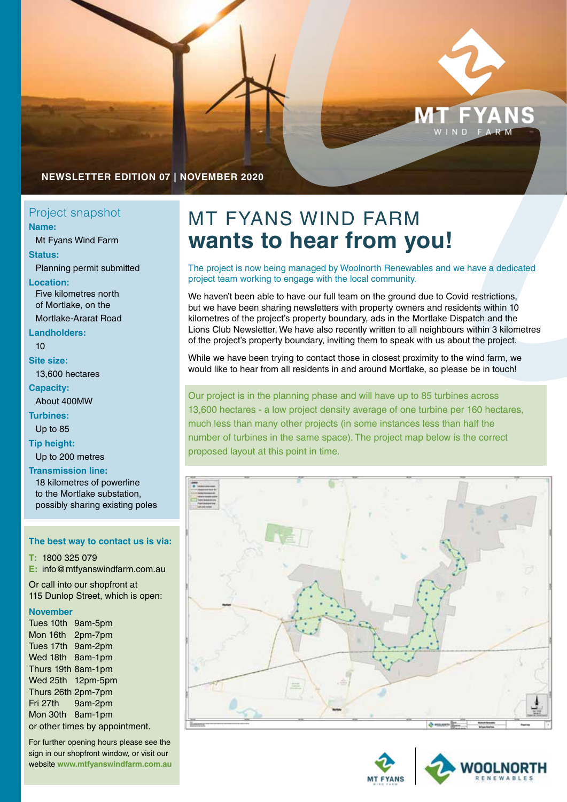

## **NEWSLETTER EDITION 07 | NOVEMBER 2020**

# **Name:**

Mt Fyans Wind Farm

**Status:**

Planning permit submitted

**Location:** Five kilometres north of Mortlake, on the

Mortlake-Ararat Road

**Landholders:** 10

**Site size:**

13,600 hectares

### **Capacity:**

About 400MW

**Turbines:** Up to 85

**Tip height:**

Up to 200 metres

**Transmission line:**

18 kilometres of powerline to the Mortlake substation, possibly sharing existing poles

#### **The best way to contact us is via:**

**T:** 1800 325 079 **E:** [info@mtfyanswindfarm.com.au](mailto:info%40mtfyanswindfarm.com.au%20?subject=) Or call into our shopfront at

115 Dunlop Street, which is open:

### **November**

Tues 10th 9am-5pm Mon 16th 2pm-7pm Tues 17th 9am-2pm Wed 18th 8am-1pm Thurs 19th 8am-1pm Wed 25th 12pm-5pm Thurs 26th 2pm-7pm Fri 27th 9am-2pm Mon 30th 8am-1pm or other times by appointment.

For further opening hours please see the sign in our shopfront window, or visit our website **[www.mtfyanswindfarm.com.au](http://www.mtfyanswindfarm.com.au)**

# Project snapshot MT FYANS WIND FARM **wants to hear from you!**

The project is now being managed by Woolnorth Renewables and we have a dedicated project team working to engage with the local community.

We haven't been able to have our full team on the ground due to Covid restrictions, but we have been sharing newsletters with property owners and residents within 10 kilometres of the project's property boundary, ads in the Mortlake Dispatch and the Lions Club Newsletter. We have also recently written to all neighbours within 3 kilometres of the project's property boundary, inviting them to speak with us about the project.

While we have been trying to contact those in closest proximity to the wind farm, we would like to hear from all residents in and around Mortlake, so please be in touch!

## Our project is in the planning phase and will have up to 85 turbines across 13,600 hectares - a low project density average of one turbine per 160 hectares, much less than many other projects (in some instances less than half the number of turbines in the same space). The project map below is the correct proposed layout at this point in time.